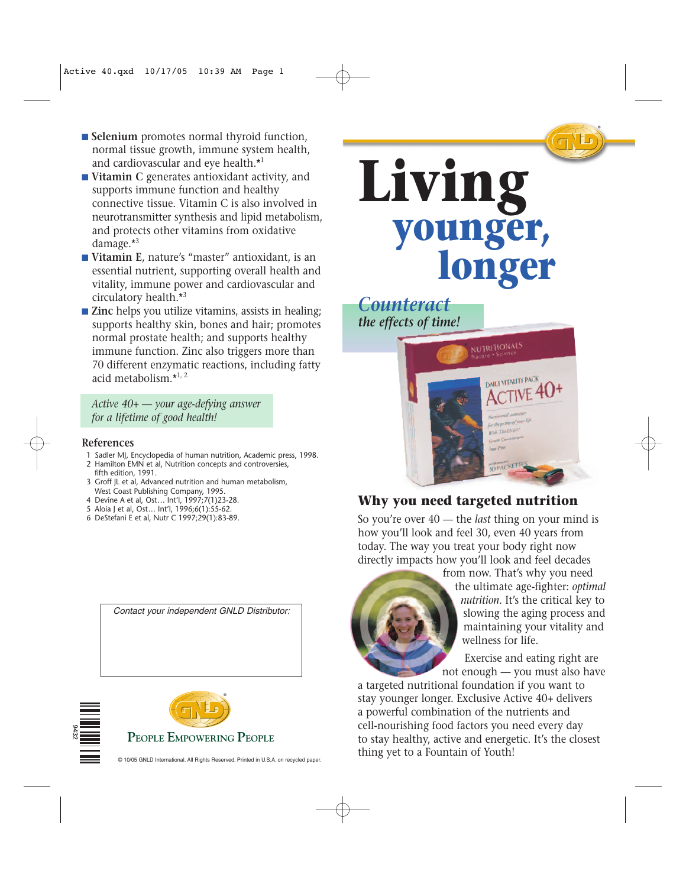- **Selenium** promotes normal thyroid function, normal tissue growth, immune system health, and cardiovascular and eye health.\*<sup>1</sup>
- **Vitamin C** generates antioxidant activity, and supports immune function and healthy connective tissue. Vitamin C is also involved in neurotransmitter synthesis and lipid metabolism, and protects other vitamins from oxidative damage.\*3
- **Vitamin E**, nature's "master" antioxidant, is an essential nutrient, supporting overall health and vitality, immune power and cardiovascular and circulatory health.\*<sup>3</sup>
- **Zinc** helps you utilize vitamins, assists in healing; supports healthy skin, bones and hair; promotes normal prostate health; and supports healthy immune function. Zinc also triggers more than 70 different enzymatic reactions, including fatty acid metabolism $*1, 2$

*Active 40+ — your age-defying answer for a lifetime of good health!*

#### **References**

- 1 Sadler MJ, Encyclopedia of human nutrition, Academic press, 1998.
- 2 Hamilton EMN et al, Nutrition concepts and controversies, fifth edition, 1991.
- 3 Groff JL et al, Advanced nutrition and human metabolism, West Coast Publishing Company, 1995.
- 4 Devine A et al, Ost… Int'l, 1997;7(1)23-28.
- 5 Aloia J et al, Ost… Int'l, 1996;6(1):55-62.
- 6 DeStefani E et al, Nutr C 1997;29(1):83-89.









#### **Why you need targeted nutrition**

So you're over 40 — the *last* thing on your mind is how you'll look and feel 30, even 40 years from today. The way you treat your body right now directly impacts how you'll look and feel decades



from now. That's why you need the ultimate age-fighter: *optimal nutrition*. It's the critical key to slowing the aging process and maintaining your vitality and wellness for life.

Exercise and eating right are not enough — you must also have

a targeted nutritional foundation if you want to stay younger longer. Exclusive Active 40+ delivers a powerful combination of the nutrients and cell-nourishing food factors you need every day to stay healthy, active and energetic. It's the closest thing yet to a Fountain of Youth!